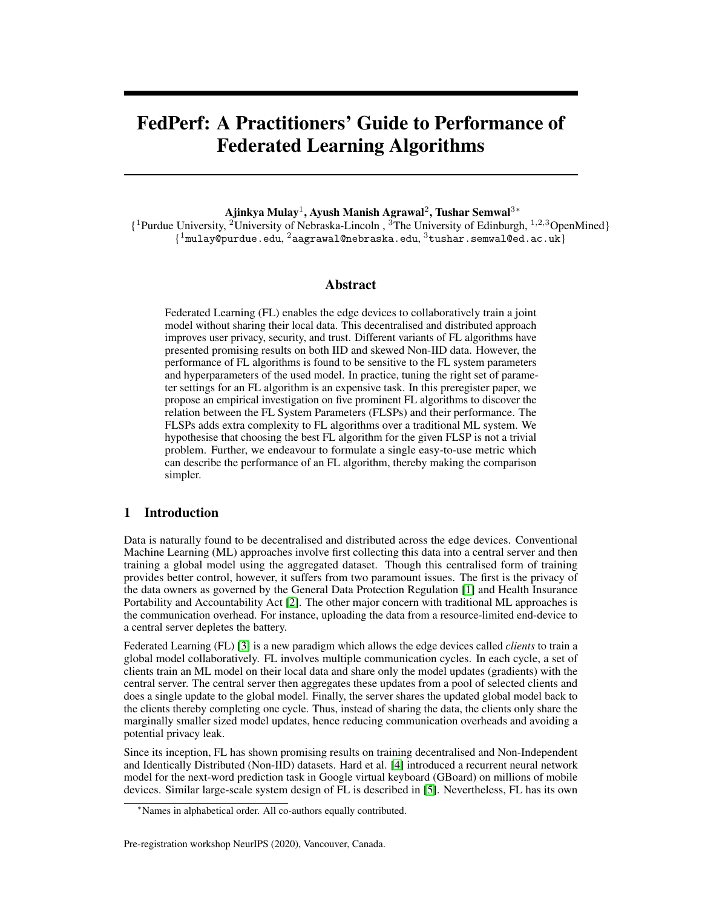# FedPerf: A Practitioners' Guide to Performance of Federated Learning Algorithms

Ajinkya Mulay $^1$ , Ayush Manish Agrawal $^2$ , Tushar Semwal $^{3\,*}$ 

{ <sup>1</sup>Purdue University, <sup>2</sup>University of Nebraska-Lincoln , <sup>3</sup>The University of Edinburgh, <sup>1</sup>,2,3OpenMined}  $\{{}^{\rm 1}$ mulay@purdue.edu,  $^{\rm 2}$ aagrawal@nebraska.edu,  $^{\rm 3}$ tushar.semwal@ed.ac.uk}

### Abstract

Federated Learning (FL) enables the edge devices to collaboratively train a joint model without sharing their local data. This decentralised and distributed approach improves user privacy, security, and trust. Different variants of FL algorithms have presented promising results on both IID and skewed Non-IID data. However, the performance of FL algorithms is found to be sensitive to the FL system parameters and hyperparameters of the used model. In practice, tuning the right set of parameter settings for an FL algorithm is an expensive task. In this preregister paper, we propose an empirical investigation on five prominent FL algorithms to discover the relation between the FL System Parameters (FLSPs) and their performance. The FLSPs adds extra complexity to FL algorithms over a traditional ML system. We hypothesise that choosing the best FL algorithm for the given FLSP is not a trivial problem. Further, we endeavour to formulate a single easy-to-use metric which can describe the performance of an FL algorithm, thereby making the comparison simpler.

# 1 Introduction

Data is naturally found to be decentralised and distributed across the edge devices. Conventional Machine Learning (ML) approaches involve first collecting this data into a central server and then training a global model using the aggregated dataset. Though this centralised form of training provides better control, however, it suffers from two paramount issues. The first is the privacy of the data owners as governed by the General Data Protection Regulation [\[1\]](#page-3-0) and Health Insurance Portability and Accountability Act [\[2\]](#page-3-1). The other major concern with traditional ML approaches is the communication overhead. For instance, uploading the data from a resource-limited end-device to a central server depletes the battery.

Federated Learning (FL) [\[3\]](#page-3-2) is a new paradigm which allows the edge devices called *clients* to train a global model collaboratively. FL involves multiple communication cycles. In each cycle, a set of clients train an ML model on their local data and share only the model updates (gradients) with the central server. The central server then aggregates these updates from a pool of selected clients and does a single update to the global model. Finally, the server shares the updated global model back to the clients thereby completing one cycle. Thus, instead of sharing the data, the clients only share the marginally smaller sized model updates, hence reducing communication overheads and avoiding a potential privacy leak.

Since its inception, FL has shown promising results on training decentralised and Non-Independent and Identically Distributed (Non-IID) datasets. Hard et al. [\[4\]](#page-4-0) introduced a recurrent neural network model for the next-word prediction task in Google virtual keyboard (GBoard) on millions of mobile devices. Similar large-scale system design of FL is described in [\[5\]](#page-4-1). Nevertheless, FL has its own

#### Pre-registration workshop NeurIPS (2020), Vancouver, Canada.

<sup>∗</sup>Names in alphabetical order. All co-authors equally contributed.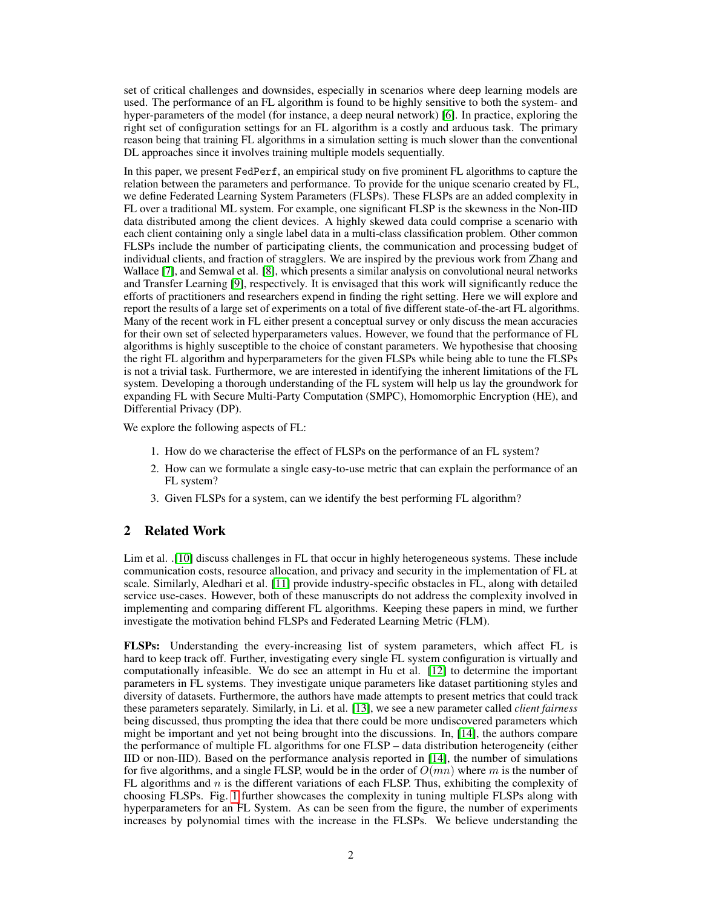set of critical challenges and downsides, especially in scenarios where deep learning models are used. The performance of an FL algorithm is found to be highly sensitive to both the system- and hyper-parameters of the model (for instance, a deep neural network) [\[6\]](#page-4-2). In practice, exploring the right set of configuration settings for an FL algorithm is a costly and arduous task. The primary reason being that training FL algorithms in a simulation setting is much slower than the conventional DL approaches since it involves training multiple models sequentially.

In this paper, we present FedPerf, an empirical study on five prominent FL algorithms to capture the relation between the parameters and performance. To provide for the unique scenario created by FL, we define Federated Learning System Parameters (FLSPs). These FLSPs are an added complexity in FL over a traditional ML system. For example, one significant FLSP is the skewness in the Non-IID data distributed among the client devices. A highly skewed data could comprise a scenario with each client containing only a single label data in a multi-class classification problem. Other common FLSPs include the number of participating clients, the communication and processing budget of individual clients, and fraction of stragglers. We are inspired by the previous work from Zhang and Wallace [\[7\]](#page-4-3), and Semwal et al. [\[8\]](#page-4-4), which presents a similar analysis on convolutional neural networks and Transfer Learning [\[9\]](#page-4-5), respectively. It is envisaged that this work will significantly reduce the efforts of practitioners and researchers expend in finding the right setting. Here we will explore and report the results of a large set of experiments on a total of five different state-of-the-art FL algorithms. Many of the recent work in FL either present a conceptual survey or only discuss the mean accuracies for their own set of selected hyperparameters values. However, we found that the performance of FL algorithms is highly susceptible to the choice of constant parameters. We hypothesise that choosing the right FL algorithm and hyperparameters for the given FLSPs while being able to tune the FLSPs is not a trivial task. Furthermore, we are interested in identifying the inherent limitations of the FL system. Developing a thorough understanding of the FL system will help us lay the groundwork for expanding FL with Secure Multi-Party Computation (SMPC), Homomorphic Encryption (HE), and Differential Privacy (DP).

We explore the following aspects of FL:

- 1. How do we characterise the effect of FLSPs on the performance of an FL system?
- 2. How can we formulate a single easy-to-use metric that can explain the performance of an FL system?
- 3. Given FLSPs for a system, can we identify the best performing FL algorithm?

## 2 Related Work

Lim et al. .[\[10\]](#page-4-6) discuss challenges in FL that occur in highly heterogeneous systems. These include communication costs, resource allocation, and privacy and security in the implementation of FL at scale. Similarly, Aledhari et al. [\[11\]](#page-4-7) provide industry-specific obstacles in FL, along with detailed service use-cases. However, both of these manuscripts do not address the complexity involved in implementing and comparing different FL algorithms. Keeping these papers in mind, we further investigate the motivation behind FLSPs and Federated Learning Metric (FLM).

FLSPs: Understanding the every-increasing list of system parameters, which affect FL is hard to keep track off. Further, investigating every single FL system configuration is virtually and computationally infeasible. We do see an attempt in Hu et al. [\[12\]](#page-4-8) to determine the important parameters in FL systems. They investigate unique parameters like dataset partitioning styles and diversity of datasets. Furthermore, the authors have made attempts to present metrics that could track these parameters separately. Similarly, in Li. et al. [\[13\]](#page-4-9), we see a new parameter called *client fairness* being discussed, thus prompting the idea that there could be more undiscovered parameters which might be important and yet not being brought into the discussions. In, [\[14\]](#page-4-10), the authors compare the performance of multiple FL algorithms for one FLSP – data distribution heterogeneity (either IID or non-IID). Based on the performance analysis reported in [\[14\]](#page-4-10), the number of simulations for five algorithms, and a single FLSP, would be in the order of  $O(mn)$  where m is the number of FL algorithms and  $n$  is the different variations of each FLSP. Thus, exhibiting the complexity of choosing FLSPs. Fig. [1](#page-2-0) further showcases the complexity in tuning multiple FLSPs along with hyperparameters for an FL System. As can be seen from the figure, the number of experiments increases by polynomial times with the increase in the FLSPs. We believe understanding the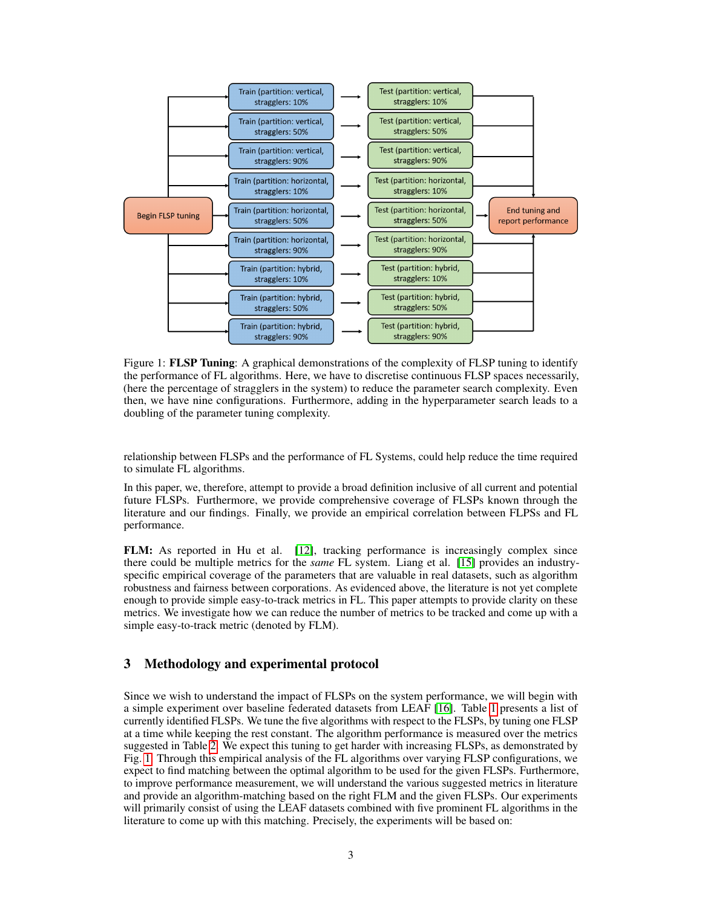

<span id="page-2-0"></span>Figure 1: **FLSP Tuning**: A graphical demonstrations of the complexity of FLSP tuning to identify the performance of FL algorithms. Here, we have to discretise continuous FLSP spaces necessarily, (here the percentage of stragglers in the system) to reduce the parameter search complexity. Even then, we have nine configurations. Furthermore, adding in the hyperparameter search leads to a doubling of the parameter tuning complexity.

relationship between FLSPs and the performance of FL Systems, could help reduce the time required to simulate FL algorithms.

In this paper, we, therefore, attempt to provide a broad definition inclusive of all current and potential future FLSPs. Furthermore, we provide comprehensive coverage of FLSPs known through the literature and our findings. Finally, we provide an empirical correlation between FLPSs and FL performance.

FLM: As reported in Hu et al. [\[12\]](#page-4-8), tracking performance is increasingly complex since there could be multiple metrics for the *same* FL system. Liang et al. [\[15\]](#page-4-11) provides an industryspecific empirical coverage of the parameters that are valuable in real datasets, such as algorithm robustness and fairness between corporations. As evidenced above, the literature is not yet complete enough to provide simple easy-to-track metrics in FL. This paper attempts to provide clarity on these metrics. We investigate how we can reduce the number of metrics to be tracked and come up with a simple easy-to-track metric (denoted by FLM).

# 3 Methodology and experimental protocol

Since we wish to understand the impact of FLSPs on the system performance, we will begin with a simple experiment over baseline federated datasets from LEAF [\[16\]](#page-4-12). Table [1](#page-3-3) presents a list of currently identified FLSPs. We tune the five algorithms with respect to the FLSPs, by tuning one FLSP at a time while keeping the rest constant. The algorithm performance is measured over the metrics suggested in Table [2.](#page-3-4) We expect this tuning to get harder with increasing FLSPs, as demonstrated by Fig. [1.](#page-2-0) Through this empirical analysis of the FL algorithms over varying FLSP configurations, we expect to find matching between the optimal algorithm to be used for the given FLSPs. Furthermore, to improve performance measurement, we will understand the various suggested metrics in literature and provide an algorithm-matching based on the right FLM and the given FLSPs. Our experiments will primarily consist of using the LEAF datasets combined with five prominent FL algorithms in the literature to come up with this matching. Precisely, the experiments will be based on: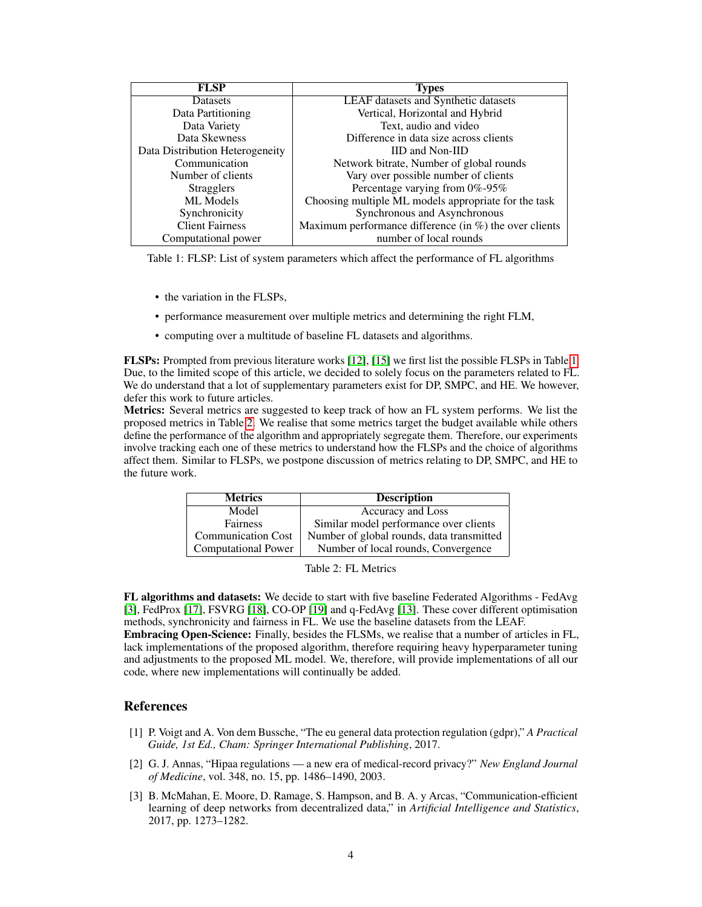<span id="page-3-3"></span>

| <b>FLSP</b>                     | <b>Types</b>                                               |
|---------------------------------|------------------------------------------------------------|
| <b>Datasets</b>                 | <b>LEAF</b> datasets and Synthetic datasets                |
| Data Partitioning               | Vertical, Horizontal and Hybrid                            |
| Data Variety                    | Text, audio and video                                      |
| Data Skewness                   | Difference in data size across clients                     |
| Data Distribution Heterogeneity | <b>IID and Non-IID</b>                                     |
| Communication                   | Network bitrate, Number of global rounds                   |
| Number of clients               | Vary over possible number of clients                       |
| <b>Stragglers</b>               | Percentage varying from 0%-95%                             |
| ML Models                       | Choosing multiple ML models appropriate for the task       |
| Synchronicity                   | Synchronous and Asynchronous                               |
| <b>Client Fairness</b>          | Maximum performance difference (in $\%$ ) the over clients |
| Computational power             | number of local rounds                                     |

Table 1: FLSP: List of system parameters which affect the performance of FL algorithms

- the variation in the FLSPs,
- performance measurement over multiple metrics and determining the right FLM,
- computing over a multitude of baseline FL datasets and algorithms.

FLSPs: Prompted from previous literature works [\[12\]](#page-4-8), [\[15\]](#page-4-11) we first list the possible FLSPs in Table [1.](#page-3-3) Due, to the limited scope of this article, we decided to solely focus on the parameters related to FL. We do understand that a lot of supplementary parameters exist for DP, SMPC, and HE. We however, defer this work to future articles.

Metrics: Several metrics are suggested to keep track of how an FL system performs. We list the proposed metrics in Table [2.](#page-3-4) We realise that some metrics target the budget available while others define the performance of the algorithm and appropriately segregate them. Therefore, our experiments involve tracking each one of these metrics to understand how the FLSPs and the choice of algorithms affect them. Similar to FLSPs, we postpone discussion of metrics relating to DP, SMPC, and HE to the future work.

| <b>Metrics</b>             | <b>Description</b>                        |
|----------------------------|-------------------------------------------|
| Model                      | Accuracy and Loss                         |
| <b>Fairness</b>            | Similar model performance over clients    |
| <b>Communication Cost</b>  | Number of global rounds, data transmitted |
| <b>Computational Power</b> | Number of local rounds, Convergence       |

<span id="page-3-4"></span>

|  | Table 2: FL Metrics |
|--|---------------------|
|--|---------------------|

FL algorithms and datasets: We decide to start with five baseline Federated Algorithms - FedAvg [\[3\]](#page-3-2), FedProx [\[17\]](#page-4-13), FSVRG [\[18\]](#page-4-14), CO-OP [\[19\]](#page-4-15) and q-FedAvg [\[13\]](#page-4-9). These cover different optimisation methods, synchronicity and fairness in FL. We use the baseline datasets from the LEAF.

Embracing Open-Science: Finally, besides the FLSMs, we realise that a number of articles in FL, lack implementations of the proposed algorithm, therefore requiring heavy hyperparameter tuning and adjustments to the proposed ML model. We, therefore, will provide implementations of all our code, where new implementations will continually be added.

## **References**

- <span id="page-3-0"></span>[1] P. Voigt and A. Von dem Bussche, "The eu general data protection regulation (gdpr)," *A Practical Guide, 1st Ed., Cham: Springer International Publishing*, 2017.
- <span id="page-3-1"></span>[2] G. J. Annas, "Hipaa regulations — a new era of medical-record privacy?" *New England Journal of Medicine*, vol. 348, no. 15, pp. 1486–1490, 2003.
- <span id="page-3-2"></span>[3] B. McMahan, E. Moore, D. Ramage, S. Hampson, and B. A. y Arcas, "Communication-efficient learning of deep networks from decentralized data," in *Artificial Intelligence and Statistics*, 2017, pp. 1273–1282.